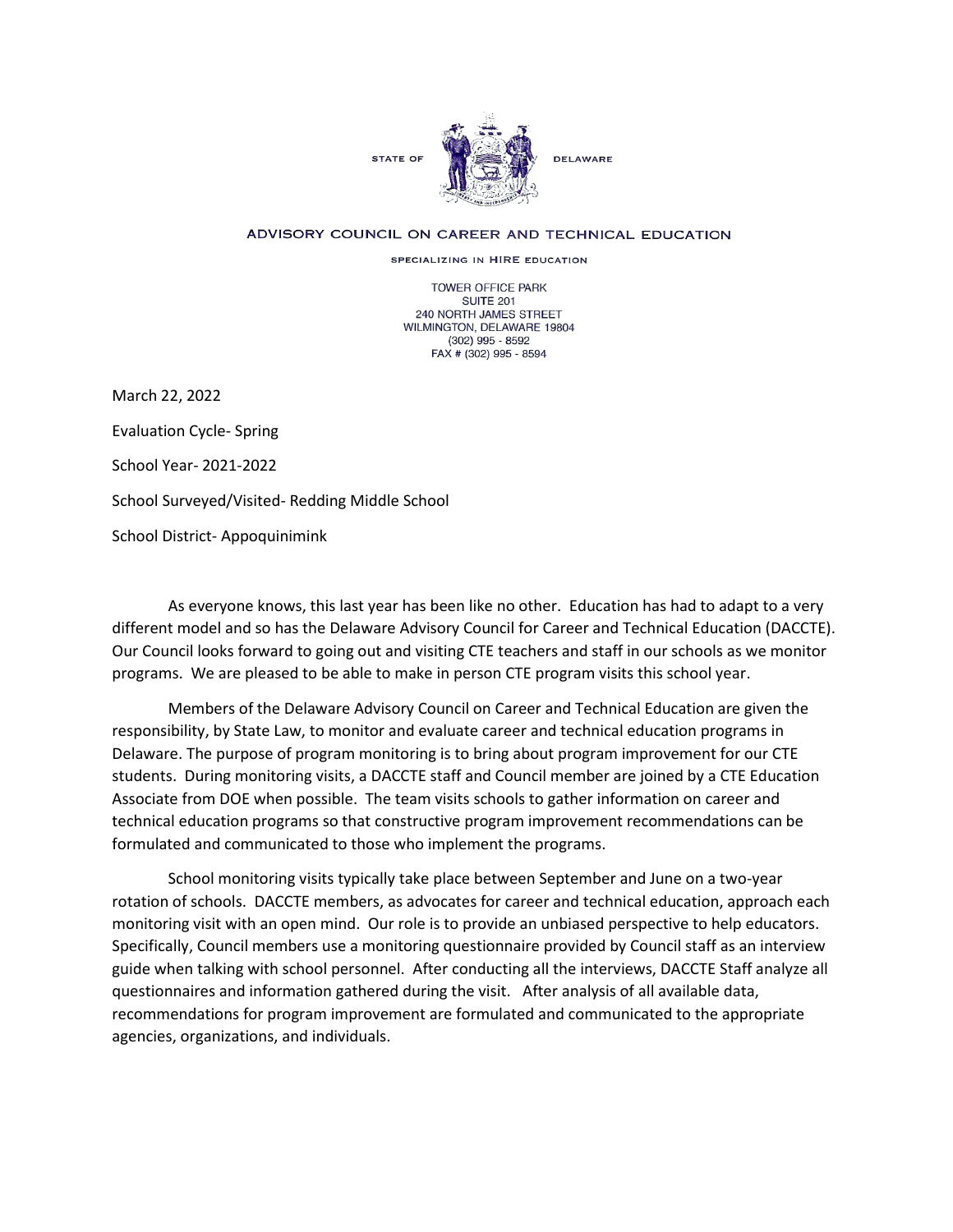

## ADVISORY COUNCIL ON CAREER AND TECHNICAL EDUCATION

SPECIALIZING IN HIRE EDUCATION

TOWER OFFICE PARK SUITE 201 240 NORTH JAMES STREET WILMINGTON, DELAWARE 19804 (302) 995 - 8592 FAX # (302) 995 - 8594

March 22, 2022 Evaluation Cycle- Spring School Year- 2021-2022 School Surveyed/Visited- Redding Middle School School District- Appoquinimink

As everyone knows, this last year has been like no other. Education has had to adapt to a very different model and so has the Delaware Advisory Council for Career and Technical Education (DACCTE). Our Council looks forward to going out and visiting CTE teachers and staff in our schools as we monitor programs. We are pleased to be able to make in person CTE program visits this school year.

Members of the Delaware Advisory Council on Career and Technical Education are given the responsibility, by State Law, to monitor and evaluate career and technical education programs in Delaware. The purpose of program monitoring is to bring about program improvement for our CTE students. During monitoring visits, a DACCTE staff and Council member are joined by a CTE Education Associate from DOE when possible. The team visits schools to gather information on career and technical education programs so that constructive program improvement recommendations can be formulated and communicated to those who implement the programs.

School monitoring visits typically take place between September and June on a two-year rotation of schools. DACCTE members, as advocates for career and technical education, approach each monitoring visit with an open mind. Our role is to provide an unbiased perspective to help educators. Specifically, Council members use a monitoring questionnaire provided by Council staff as an interview guide when talking with school personnel. After conducting all the interviews, DACCTE Staff analyze all questionnaires and information gathered during the visit. After analysis of all available data, recommendations for program improvement are formulated and communicated to the appropriate agencies, organizations, and individuals.